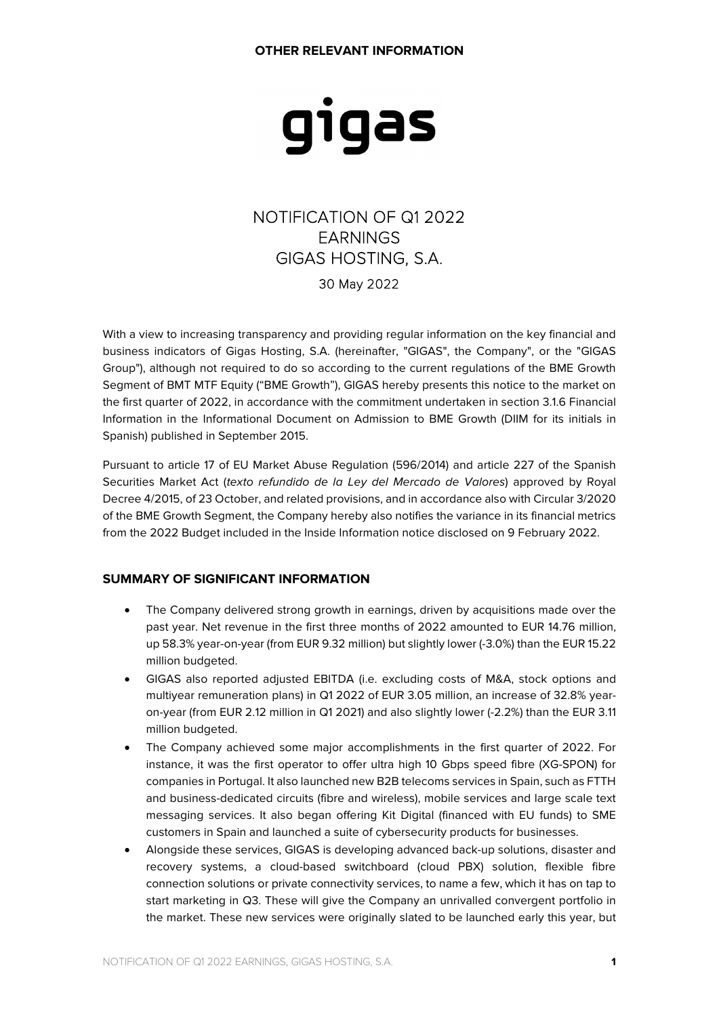# gigas

# NOTIFICATION OF Q1 2022 EARNINGS GIGAS HOSTING, S.A. 30 May 2022

With a view to increasing transparency and providing regular information on the key financial and business indicators of Gigas Hosting, S.A. (hereinafter, "GIGAS", the Company", or the "GIGAS Group"), although not required to do so according to the current regulations of the BME Growth Segment of BMT MTF Equity ("BME Growth"), GIGAS hereby presents this notice to the market on the first quarter of 2022, in accordance with the commitment undertaken in section 3.1.6 Financial Information in the Informational Document on Admission to BME Growth (DIIM for its initials in Spanish) published in September 2015.

Pursuant to article 17 of EU Market Abuse Regulation (596/2014) and article 227 of the Spanish Securities Market Act (texto refundido de la Ley del Mercado de Valores) approved by Royal Decree 4/2015, of 23 October, and related provisions, and in accordance also with Circular 3/2020 of the BME Growth Segment, the Company hereby also notifies the variance in its financial metrics from the 2022 Budget included in the Inside Information notice disclosed on 9 February 2022.

## **SUMMARY OF SIGNIFICANT INFORMATION**

- The Company delivered strong growth in earnings, driven by acquisitions made over the past year. Net revenue in the first three months of 2022 amounted to EUR 14.76 million, up 58.3% year-on-year (from EUR 9.32 million) but slightly lower (-3.0%) than the EUR 15.22 million budgeted.
- GIGAS also reported adjusted EBITDA (i.e. excluding costs of M&A, stock options and multiyear remuneration plans) in Q1 2022 of EUR 3.05 million, an increase of 32.8% yearon-year (from EUR 2.12 million in Q1 2021) and also slightly lower (-2.2%) than the EUR 3.11 million budgeted.
- The Company achieved some major accomplishments in the first quarter of 2022. For instance, it was the first operator to offer ultra high 10 Gbps speed fibre (XG-SPON) for companies in Portugal. It also launched new B2B telecoms services in Spain, such as FTTH and business-dedicated circuits (fibre and wireless), mobile services and large scale text messaging services. It also began offering Kit Digital (financed with EU funds) to SME customers in Spain and launched a suite of cybersecurity products for businesses.
- Alongside these services, GIGAS is developing advanced back-up solutions, disaster and recovery systems, a cloud-based switchboard (cloud PBX) solution, flexible fibre connection solutions or private connectivity services, to name a few, which it has on tap to start marketing in Q3. These will give the Company an unrivalled convergent portfolio in the market. These new services were originally slated to be launched early this year, but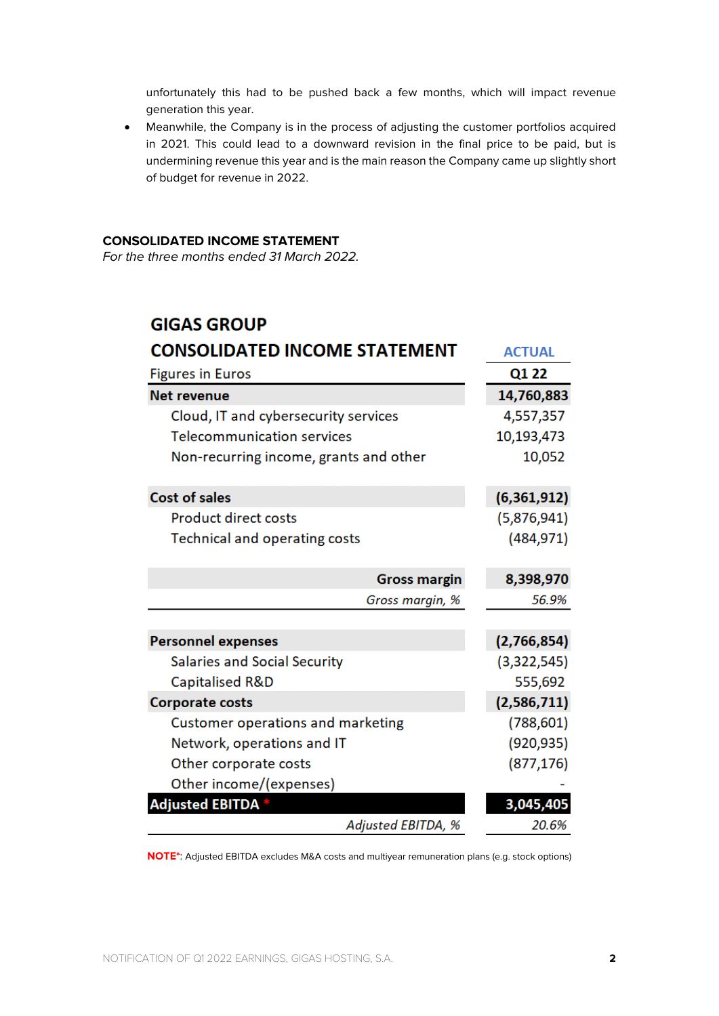unfortunately this had to be pushed back a few months, which will impact revenue generation this year.

• Meanwhile, the Company is in the process of adjusting the customer portfolios acquired in 2021. This could lead to a downward revision in the final price to be paid, but is undermining revenue this year and is the main reason the Company came up slightly short of budget for revenue in 2022.

### **CONSOLIDATED INCOME STATEMENT**

For the three months ended 31 March 2022.

# **GIGAS GROUP**

| <b>CONSOLIDATED INCOME STATEMENT</b>   | <b>ACTUAL</b> |  |  |
|----------------------------------------|---------------|--|--|
| <b>Figures in Euros</b>                | Q1 22         |  |  |
| <b>Net revenue</b>                     | 14,760,883    |  |  |
| Cloud, IT and cybersecurity services   | 4,557,357     |  |  |
| <b>Telecommunication services</b>      | 10,193,473    |  |  |
| Non-recurring income, grants and other | 10,052        |  |  |
| <b>Cost of sales</b>                   | (6,361,912)   |  |  |
| <b>Product direct costs</b>            | (5,876,941)   |  |  |
| Technical and operating costs          | (484, 971)    |  |  |
| <b>Gross margin</b>                    | 8,398,970     |  |  |
| Gross margin, %                        | 56.9%         |  |  |
|                                        |               |  |  |
| <b>Personnel expenses</b>              | (2,766,854)   |  |  |
| <b>Salaries and Social Security</b>    | (3,322,545)   |  |  |
| Capitalised R&D                        | 555,692       |  |  |
| <b>Corporate costs</b>                 | (2,586,711)   |  |  |
| Customer operations and marketing      | (788, 601)    |  |  |
| Network, operations and IT             | (920, 935)    |  |  |
| Other corporate costs                  | (877, 176)    |  |  |
| Other income/(expenses)                |               |  |  |
| <b>Adjusted EBITDA</b> *               | 3,045,405     |  |  |
| <b>Adjusted EBITDA, %</b>              | 20.6%         |  |  |

**NOTE\***: Adjusted EBITDA excludes M&A costs and multiyear remuneration plans (e.g. stock options)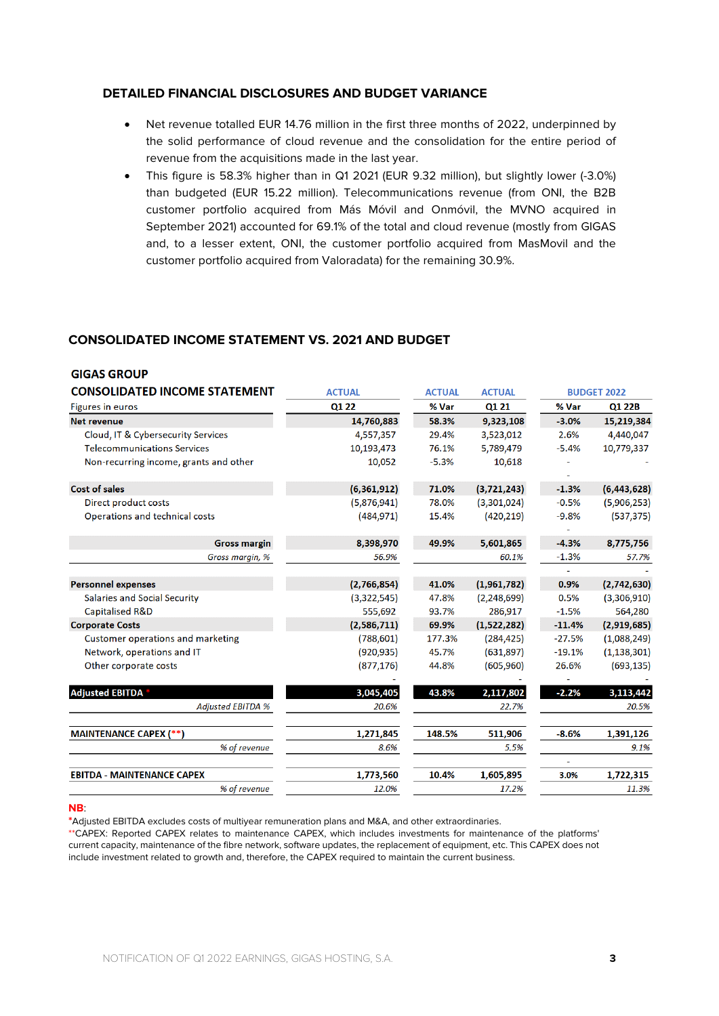#### **DETAILED FINANCIAL DISCLOSURES AND BUDGET VARIANCE**

- Net revenue totalled EUR 14.76 million in the first three months of 2022, underpinned by the solid performance of cloud revenue and the consolidation for the entire period of revenue from the acquisitions made in the last year.
- This figure is 58.3% higher than in Q1 2021 (EUR 9.32 million), but slightly lower (-3.0%) than budgeted (EUR 15.22 million). Telecommunications revenue (from ONI, the B2B customer portfolio acquired from Más Móvil and Onmóvil, the MVNO acquired in September 2021) accounted for 69.1% of the total and cloud revenue (mostly from GIGAS and, to a lesser extent, ONI, the customer portfolio acquired from MasMovil and the customer portfolio acquired from Valoradata) for the remaining 30.9%.

## **CONSOLIDATED INCOME STATEMENT VS. 2021 AND BUDGET**

| <b>GIGAS GROUP</b>                                              |                          |                        |                         |                     |                              |
|-----------------------------------------------------------------|--------------------------|------------------------|-------------------------|---------------------|------------------------------|
| <b>CONSOLIDATED INCOME STATEMENT</b><br>Figures in euros        | <b>ACTUAL</b>            | <b>ACTUAL</b><br>% Var | <b>ACTUAL</b><br>Q1 21  | <b>BUDGET 2022</b>  |                              |
|                                                                 | Q1 22                    |                        |                         | % Var               | Q1 22B                       |
| <b>Net revenue</b>                                              | 14,760,883               | 58.3%                  | 9,323,108               | $-3.0%$             | 15,219,384                   |
| Cloud, IT & Cybersecurity Services                              | 4,557,357                | 29.4%                  | 3,523,012               | 2.6%                | 4,440,047                    |
| <b>Telecommunications Services</b>                              | 10,193,473               | 76.1%                  | 5,789,479               | $-5.4%$             | 10,779,337                   |
| Non-recurring income, grants and other                          | 10,052                   | $-5.3%$                | 10,618                  |                     |                              |
| <b>Cost of sales</b>                                            | (6,361,912)              | 71.0%                  | (3,721,243)             | $-1.3%$             | (6,443,628)                  |
| <b>Direct product costs</b>                                     | (5,876,941)              | 78.0%                  | (3,301,024)             | $-0.5%$             | (5,906,253)                  |
| Operations and technical costs                                  | (484, 971)               | 15.4%                  | (420, 219)              | $-9.8%$             | (537, 375)                   |
| <b>Gross margin</b>                                             | 8,398,970                | 49.9%                  | 5,601,865               | $-4.3%$             | 8,775,756                    |
| Gross margin, %                                                 | 56.9%                    |                        | 60.1%                   | $-1.3%$             | 57.7%                        |
|                                                                 |                          |                        |                         |                     |                              |
| <b>Personnel expenses</b>                                       | (2,766,854)              | 41.0%                  | (1,961,782)             | 0.9%                | (2,742,630)                  |
| Salaries and Social Security                                    | (3,322,545)              | 47.8%                  | (2, 248, 699)           | 0.5%                | (3,306,910)                  |
| <b>Capitalised R&amp;D</b><br><b>Corporate Costs</b>            | 555,692<br>(2,586,711)   | 93.7%<br>69.9%         | 286,917<br>(1,522,282)  | $-1.5%$<br>$-11.4%$ | 564,280<br>(2,919,685)       |
|                                                                 |                          | 177.3%                 |                         | $-27.5%$            |                              |
| Customer operations and marketing<br>Network, operations and IT | (788, 601)<br>(920, 935) | 45.7%                  | (284, 425)<br>(631,897) | $-19.1%$            | (1,088,249)<br>(1, 138, 301) |
| Other corporate costs                                           | (877, 176)               | 44.8%                  | (605,960)               | 26.6%               | (693, 135)                   |
| <b>Adjusted EBITDA</b>                                          | 3,045,405                | 43.8%                  | 2,117,802               | $-2.2%$             | 3,113,442                    |
| <b>Adjusted EBITDA %</b>                                        | 20.6%                    |                        | 22.7%                   |                     | 20.5%                        |
| <b>MAINTENANCE CAPEX (**)</b>                                   | 1,271,845                | 148.5%                 | 511,906                 | $-8.6%$             | 1,391,126                    |
| % of revenue                                                    | 8.6%                     |                        | 5.5%                    |                     | 9.1%                         |
| <b>EBITDA - MAINTENANCE CAPEX</b>                               | 1,773,560                | 10.4%                  | 1,605,895               | 3.0%                | 1,722,315                    |
| % of revenue                                                    | 12.0%                    |                        | 17.2%                   |                     | 11.3%                        |

#### **NB**:

**\***Adjusted EBITDA excludes costs of multiyear remuneration plans and M&A, and other extraordinaries.

\*\*CAPEX: Reported CAPEX relates to maintenance CAPEX, which includes investments for maintenance of the platforms' current capacity, maintenance of the fibre network, software updates, the replacement of equipment, etc. This CAPEX does not include investment related to growth and, therefore, the CAPEX required to maintain the current business.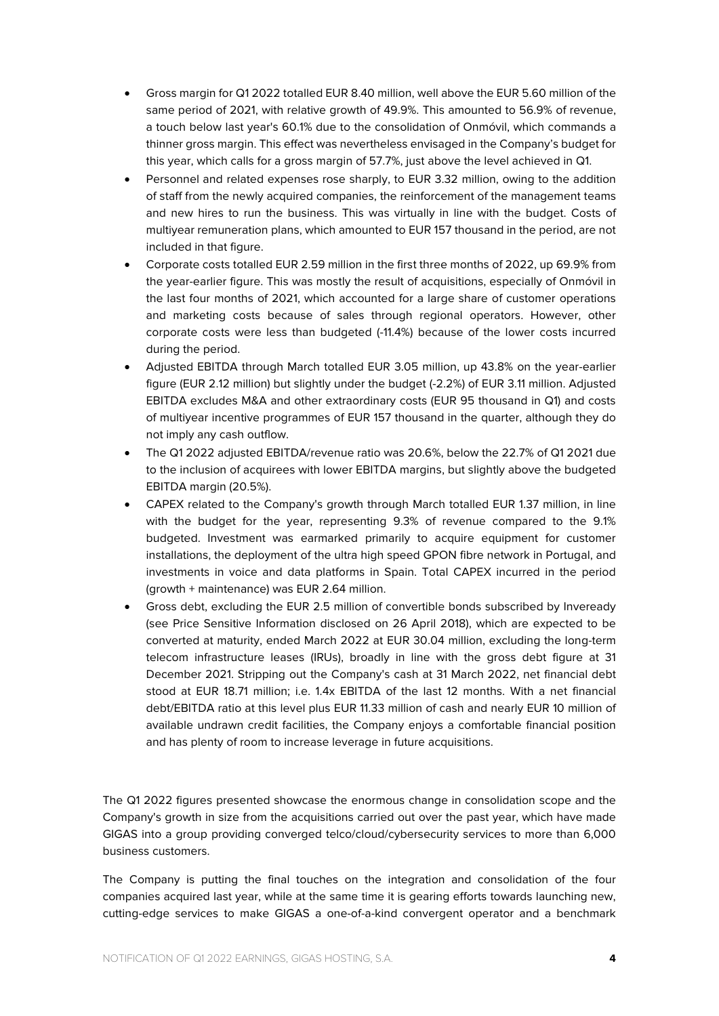- Gross margin for Q1 2022 totalled EUR 8.40 million, well above the EUR 5.60 million of the same period of 2021, with relative growth of 49.9%. This amounted to 56.9% of revenue, a touch below last year's 60.1% due to the consolidation of Onmóvil, which commands a thinner gross margin. This effect was nevertheless envisaged in the Company's budget for this year, which calls for a gross margin of 57.7%, just above the level achieved in Q1.
- Personnel and related expenses rose sharply, to EUR 3.32 million, owing to the addition of staff from the newly acquired companies, the reinforcement of the management teams and new hires to run the business. This was virtually in line with the budget. Costs of multiyear remuneration plans, which amounted to EUR 157 thousand in the period, are not included in that figure.
- Corporate costs totalled EUR 2.59 million in the first three months of 2022, up 69.9% from the year-earlier figure. This was mostly the result of acquisitions, especially of Onmóvil in the last four months of 2021, which accounted for a large share of customer operations and marketing costs because of sales through regional operators. However, other corporate costs were less than budgeted (-11.4%) because of the lower costs incurred during the period.
- Adjusted EBITDA through March totalled EUR 3.05 million, up 43.8% on the year-earlier figure (EUR 2.12 million) but slightly under the budget (-2.2%) of EUR 3.11 million. Adjusted EBITDA excludes M&A and other extraordinary costs (EUR 95 thousand in Q1) and costs of multiyear incentive programmes of EUR 157 thousand in the quarter, although they do not imply any cash outflow.
- The Q1 2022 adjusted EBITDA/revenue ratio was 20.6%, below the 22.7% of Q1 2021 due to the inclusion of acquirees with lower EBITDA margins, but slightly above the budgeted EBITDA margin (20.5%).
- CAPEX related to the Company's growth through March totalled EUR 1.37 million, in line with the budget for the year, representing 9.3% of revenue compared to the 9.1% budgeted. Investment was earmarked primarily to acquire equipment for customer installations, the deployment of the ultra high speed GPON fibre network in Portugal, and investments in voice and data platforms in Spain. Total CAPEX incurred in the period (growth + maintenance) was EUR 2.64 million.
- Gross debt, excluding the EUR 2.5 million of convertible bonds subscribed by Inveready (see Price Sensitive Information disclosed on 26 April 2018), which are expected to be converted at maturity, ended March 2022 at EUR 30.04 million, excluding the long-term telecom infrastructure leases (IRUs), broadly in line with the gross debt figure at 31 December 2021. Stripping out the Company's cash at 31 March 2022, net financial debt stood at EUR 18.71 million; i.e. 1.4x EBITDA of the last 12 months. With a net financial debt/EBITDA ratio at this level plus EUR 11.33 million of cash and nearly EUR 10 million of available undrawn credit facilities, the Company enjoys a comfortable financial position and has plenty of room to increase leverage in future acquisitions.

The Q1 2022 figures presented showcase the enormous change in consolidation scope and the Company's growth in size from the acquisitions carried out over the past year, which have made GIGAS into a group providing converged telco/cloud/cybersecurity services to more than 6,000 business customers.

The Company is putting the final touches on the integration and consolidation of the four companies acquired last year, while at the same time it is gearing efforts towards launching new, cutting-edge services to make GIGAS a one-of-a-kind convergent operator and a benchmark